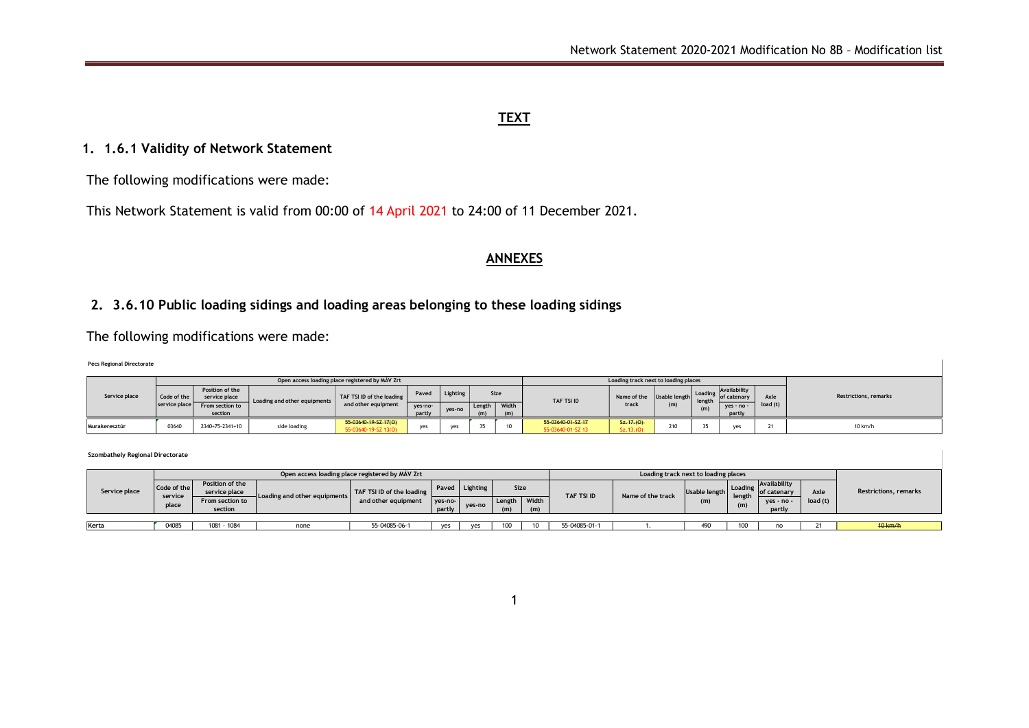### **TEXT**

## **1. 1.6.1 Validity of Network Statement**

The following modifications were made:

This Network Statement is valid from 00:00 of 14 April 2021 to 24:00 of 11 December 2021.

#### **ANNEXES**

# **2. 3.6.10 Public loading sidings and loading areas belonging to these loading sidings**

## The following modifications were made:

#### **Pécs Regional Directorate**

| Service place |               |                                  |                              | Open access loading place registered by MAV Zrt |                   |        |                          |  |                                        | Loading track next to loading places |                      |         |                             |          |                              |
|---------------|---------------|----------------------------------|------------------------------|-------------------------------------------------|-------------------|--------|--------------------------|--|----------------------------------------|--------------------------------------|----------------------|---------|-----------------------------|----------|------------------------------|
|               | Code of the   | Position of the<br>service place | Loading and other equipments | TAF TSI ID of the loading                       | Lighting<br>Paved |        | Size                     |  | TAF TSI ID                             | Name of the                          | Usable length length | Loading | Availability<br>of catenary | Axle     | <b>Restrictions, remarks</b> |
|               | service place | From section to<br>section       |                              | and other equipment                             | yes-no-<br>partly | ves-no | Width<br>Length I<br>(m) |  |                                        | track                                | (m)                  |         | $ves - no -$<br>partly      | load (t) |                              |
| Murakeresztúr | 0364          | 2340+75-2341+10                  | side loading                 | 55-03640-19-SZ-17(O)<br>55-03640-19-SZ 13(O)    | ves               | yes    |                          |  | 55 03640 01 SZ 17<br>55-03640-01-SZ 13 | 5z.17(0)<br>Sz.13.(0)                | 240                  | ـ د     |                             | ۷ı       | 10 km/h                      |

#### **Szombathely Regional Directorate**

|               |                  |                                  |                                                    | Open access loading place registered by MAV Zrt  |                   |          |               |              |                   | Loading track next to loading places |               |         |                              |          |                              |  |  |  |  |  |
|---------------|------------------|----------------------------------|----------------------------------------------------|--------------------------------------------------|-------------------|----------|---------------|--------------|-------------------|--------------------------------------|---------------|---------|------------------------------|----------|------------------------------|--|--|--|--|--|
| Service place | Code of the      | Position of the<br>service place |                                                    | TAF TSI ID of the loading<br>and other equipment | Paved             | Lighting | <b>Size</b>   |              | <b>TAF TSI ID</b> |                                      | Usable length | Loading | Availability<br>lof catenary | Axle     | <b>Restrictions, remarks</b> |  |  |  |  |  |
|               | service<br>place | From section to<br>section       | $\mathsf{\mathsf{I}}$ Loading and other equipments |                                                  | yes-no-<br>partly | ves-no   | Length<br>(m) | Width<br>(m) |                   | Name of the track                    | (m)           | length  | $ves - no -$<br>partly       | load (t) |                              |  |  |  |  |  |
|               |                  |                                  |                                                    |                                                  |                   |          |               |              |                   |                                      |               |         |                              |          |                              |  |  |  |  |  |
| Kerta         | 0408             | 1081 - 1084                      | none                                               | 55-04085-06-1                                    | ves               | ves      | 100           |              | 55-04085-01-1     |                                      | 490           |         |                              |          | $40$ km/h                    |  |  |  |  |  |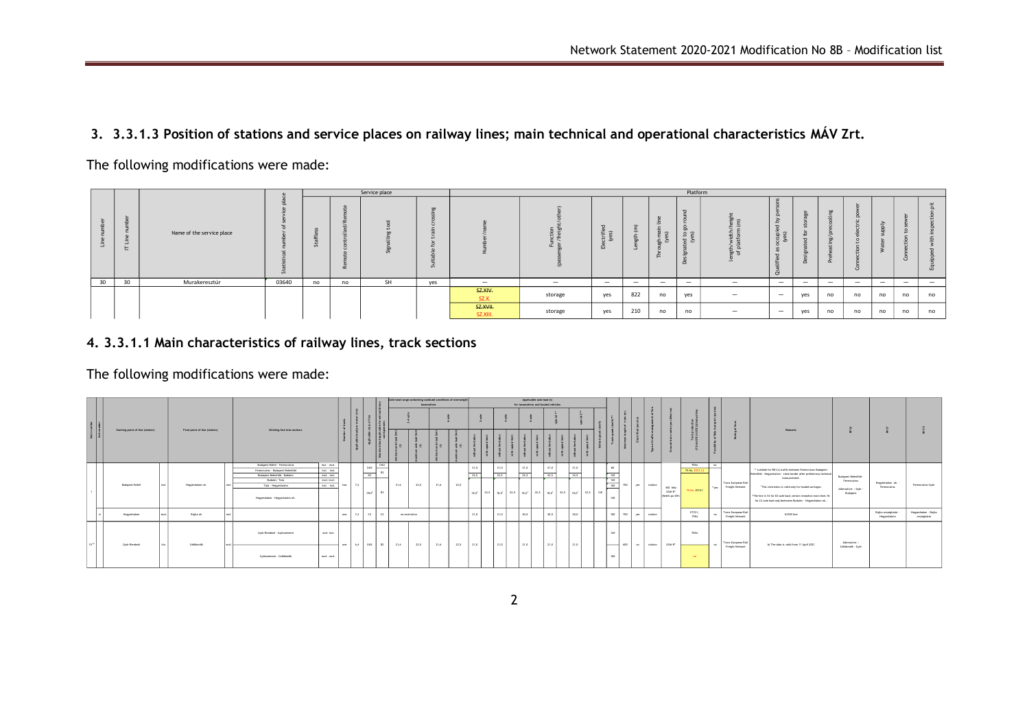## **3. 3.3.1.3 Position of stations and service places on railway lines; main technical and operational characteristics MÁV Zrt.**

The following modifications were made:



# **4. 3.3.1.1 Main characteristics of railway lines, track sections**

The following modifications were made:

|                           |                                  |  | Final point of line (station) |  |                                                                   |                                |     |            |     |      | Axle load range containing subdued conditions of overweight | locomotives |      | Applicable axle load (t)<br>for locomotives and hauled vehicles |      |      |                                                                                |      |  |      |  |            |     |             |         |                                      |                     |                   |                                       |                                                                                                                                              |                                    |                                  |                                    |
|---------------------------|----------------------------------|--|-------------------------------|--|-------------------------------------------------------------------|--------------------------------|-----|------------|-----|------|-------------------------------------------------------------|-------------|------|-----------------------------------------------------------------|------|------|--------------------------------------------------------------------------------|------|--|------|--|------------|-----|-------------|---------|--------------------------------------|---------------------|-------------------|---------------------------------------|----------------------------------------------------------------------------------------------------------------------------------------------|------------------------------------|----------------------------------|------------------------------------|
| Main number<br>Sub-number |                                  |  |                               |  |                                                                   |                                |     |            |     |      |                                                             |             |      |                                                                 |      |      |                                                                                |      |  |      |  |            |     |             |         |                                      |                     |                   |                                       |                                                                                                                                              |                                    |                                  |                                    |
|                           | Starting point of line (station) |  |                               |  | Dividing line into sections                                       |                                |     |            |     | 景容   | ಕೆ ಐ                                                        | 景容          | ತೆ ಪ |                                                                 |      |      |                                                                                |      |  |      |  |            |     |             |         |                                      |                     |                   |                                       | Remarks                                                                                                                                      |                                    |                                  |                                    |
|                           |                                  |  |                               |  | Budapest-Keleti - Ferencyáros<br>Ferencyáros - Budapest-Kelenföld | tect. - excl.<br>Incl. - Incl. |     | CM3        | CM3 |      |                                                             |             |      | 21.0                                                            | 21.0 |      | 21.0                                                                           | 21,0 |  | 21.0 |  | sn         |     |             |         |                                      | 75Hz<br>75 Hz, ETCS | no.               |                                       | ** suitable for RO-LA traffic between Ferency iros-Budaoest-                                                                                 | Budapest-Kelenföld                 |                                  | Ferencyjnas-Győr                   |
|                           |                                  |  |                               |  | Budapest-Kelenföld - Budaörs                                      | ___<br>excl. -incl.            |     | D3         |     |      |                                                             |             |      | 22.5                                                            | 22.5 |      | 22.5                                                                           | 22.5 |  | 22.5 |  | 120        |     |             |         |                                      | __                  |                   |                                       | Kelerföld - Hegyeshalom - state border after preliminary technic<br>measurement.                                                             |                                    |                                  |                                    |
|                           | Budgest-Keleti                   |  | Heweshalom oh.                |  | Budaörs-Tata<br>Tata - Heeveshalom                                | excl.excl.<br>Incl. - Incl.    |     |            |     | 21.6 | 22.5                                                        | 21.6        | 22.5 |                                                                 |      |      |                                                                                |      |  |      |  | 140<br>160 | 750 | ves station |         |                                      |                     | "ver              | Tram European Rati<br>Freight Network | <sup>2</sup> This restriction is valid only for hauled carriages.                                                                            | Ferencyáros                        | Hegyeshalom oh. -<br>Ferencyáros |                                    |
|                           |                                  |  |                               |  | Hegyeshalom - Hegyeshalom oh.                                     |                                |     | $CMY^2$    |     |      |                                                             |             |      |                                                                 |      |      | 18.0'   22.5   18.0'   22.5   18.0'   22.5   18.0'   22.5   18.0'   22.5   120 |      |  |      |  | 140        |     |             |         | 450 Mhz<br>GSM-R*<br>(Kelet), pu-OH) | 75 Hz, ETCS1        |                   |                                       | <sup>2</sup> The line is fit for D3 axle load, certain reception main lines fit<br>for C3 axle load only beetween Budaörs - Heaveshalom oh., | Alternative: : Győr -<br>Businesst |                                  |                                    |
|                           | Hegyeshalom                      |  | Ratka oh                      |  |                                                                   |                                | one | $7.2$ $C2$ |     |      | no restriction                                              |             |      | 21.0                                                            |      | 21.0 | 20.0                                                                           | 20.0 |  | 20.0 |  | 100        | 750 | <b>VES</b>  | station |                                      | ETCS1,<br>75Hz      |                   | Tram European Rati<br>Freight Network | GYSEV Ine                                                                                                                                    |                                    | Rajka országhatár<br>Herveshalom | Hegyeshalom - Rajka<br>országhatár |
| 10 11                     | Györ-Rendező                     |  | Celdonok                      |  | Győr-Rendező - Győrszemere                                        | excl-incl.                     | one | 6.4 CM2    | f12 | 21.6 |                                                             |             |      | 21.0                                                            |      | 21.0 | 21.0                                                                           | 21.0 |  | 21.0 |  | 120        | 600 |             | station | GSM-R*                               | 75Hz                |                   | Trans European Rail                   |                                                                                                                                              | Alternative:                       |                                  |                                    |
|                           |                                  |  |                               |  | Györszemere - Celldömölk                                          | excl. excl.                    |     |            |     |      | 22.5                                                        | 21,6        | 22,5 |                                                                 |      |      |                                                                                |      |  |      |  | __<br>100  |     | <b>COL</b>  |         |                                      | <b>CONTRACTOR</b>   | <b>CONTRACTOR</b> | Freight Network                       | b) The data is valid from 11 April 2021                                                                                                      | Celdomolk - Győr                   |                                  |                                    |